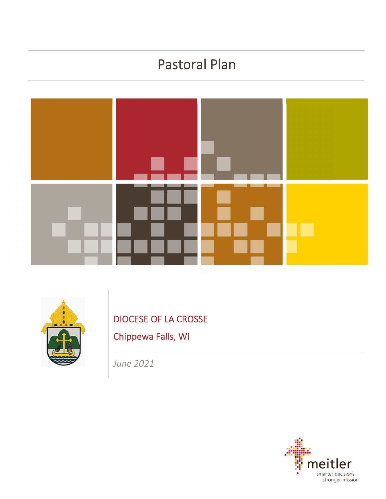# Pastoral Plan





DIOCESE OF LA CROSSE

Chippewa Falls, WI

*June 2021*

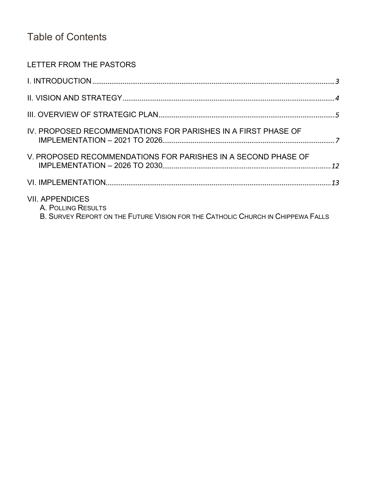## Table of Contents

### LETTER FROM THE PASTORS

| IV. PROPOSED RECOMMENDATIONS FOR PARISHES IN A FIRST PHASE OF                                                                   |  |
|---------------------------------------------------------------------------------------------------------------------------------|--|
| V. PROPOSED RECOMMENDATIONS FOR PARISHES IN A SECOND PHASE OF                                                                   |  |
|                                                                                                                                 |  |
| <b>VII. APPENDICES</b><br>A. POLLING RESULTS<br>B. SURVEY REPORT ON THE FUTURE VISION FOR THE CATHOLIC CHURCH IN CHIPPEWA FALLS |  |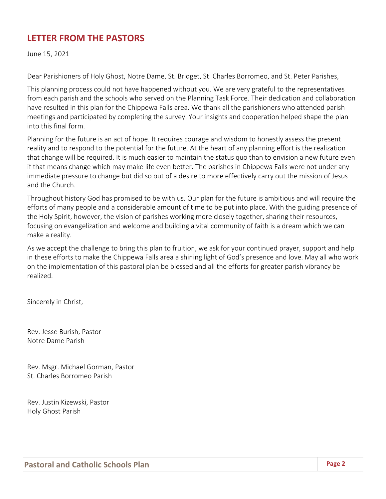## **LETTER FROM THE PASTORS**

June 15, 2021

Dear Parishioners of Holy Ghost, Notre Dame, St. Bridget, St. Charles Borromeo, and St. Peter Parishes,

This planning process could not have happened without you. We are very grateful to the representatives from each parish and the schools who served on the Planning Task Force. Their dedication and collaboration have resulted in this plan for the Chippewa Falls area. We thank all the parishioners who attended parish meetings and participated by completing the survey. Your insights and cooperation helped shape the plan into this final form.

Planning for the future is an act of hope. It requires courage and wisdom to honestly assess the present reality and to respond to the potential for the future. At the heart of any planning effort is the realization that change will be required. It is much easier to maintain the status quo than to envision a new future even if that means change which may make life even better. The parishes in Chippewa Falls were not under any immediate pressure to change but did so out of a desire to more effectively carry out the mission of Jesus and the Church.

Throughout history God has promised to be with us. Our plan for the future is ambitious and will require the efforts of many people and a considerable amount of time to be put into place. With the guiding presence of the Holy Spirit, however, the vision of parishes working more closely together, sharing their resources, focusing on evangelization and welcome and building a vital community of faith is a dream which we can make a reality.

As we accept the challenge to bring this plan to fruition, we ask for your continued prayer, support and help in these efforts to make the Chippewa Falls area a shining light of God's presence and love. May all who work on the implementation of this pastoral plan be blessed and all the efforts for greater parish vibrancy be realized.

Sincerely in Christ,

Rev. Jesse Burish, Pastor Notre Dame Parish

Rev. Msgr. Michael Gorman, Pastor St. Charles Borromeo Parish

Rev. Justin Kizewski, Pastor Holy Ghost Parish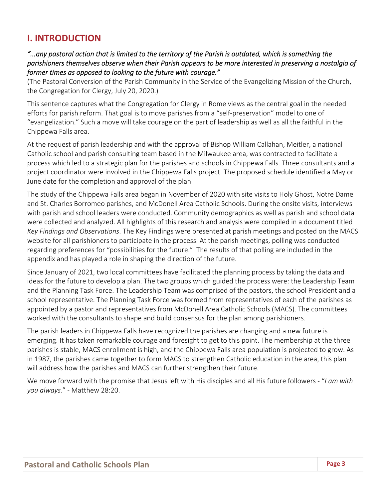## **I. INTRODUCTION**

### any pastoral action that is limited to the territory of the Parish is outdated, which is something the." parishioners themselves observe when their Parish appears to be more interested in preserving a nostalgia of *former times as opposed to looking to the future with courage."*

(The Pastoral Conversion of the Parish Community in the Service of the Evangelizing Mission of the Church, the Congregation for Clergy, July 20, 2020.)

This sentence captures what the Congregation for Clergy in Rome views as the central goal in the needed efforts for parish reform. That goal is to move parishes from a "self‐preservation" model to one of "evangelization." Such a move will take courage on the part of leadership as well as all the faithful in the Chippewa Falls area.

At the request of parish leadership and with the approval of Bishop William Callahan, Meitler, a national Catholic school and parish consulting team based in the Milwaukee area, was contracted to facilitate a process which led to a strategic plan for the parishes and schools in Chippewa Falls. Three consultants and a project coordinator were involved in the Chippewa Falls project. The proposed schedule identified a May or June date for the completion and approval of the plan.

The study of the Chippewa Falls area began in November of 2020 with site visits to Holy Ghost, Notre Dame and St. Charles Borromeo parishes, and McDonell Area Catholic Schools. During the onsite visits, interviews with parish and school leaders were conducted. Community demographics as well as parish and school data were collected and analyzed. All highlights of this research and analysis were compiled in a document titled *Key Findings and Observations*. The Key Findings were presented at parish meetings and posted on the MACS website for all parishioners to participate in the process. At the parish meetings, polling was conducted regarding preferences for "possibilities for the future." The results of that polling are included in the appendix and has played a role in shaping the direction of the future.

Since January of 2021, two local committees have facilitated the planning process by taking the data and ideas for the future to develop a plan. The two groups which guided the process were: the Leadership Team and the Planning Task Force. The Leadership Team was comprised of the pastors, the school President and a school representative. The Planning Task Force was formed from representatives of each of the parishes as appointed by a pastor and representatives from McDonell Area Catholic Schools (MACS). The committees worked with the consultants to shape and build consensus for the plan among parishioners.

The parish leaders in Chippewa Falls have recognized the parishes are changing and a new future is emerging. It has taken remarkable courage and foresight to get to this point. The membership at the three parishes is stable, MACS enrollment is high, and the Chippewa Falls area population is projected to grow. As in 1987, the parishes came together to form MACS to strengthen Catholic education in the area, this plan will address how the parishes and MACS can further strengthen their future.

We move forward with the promise that Jesus left with His disciples and all His future followers ‐ "*I am with you always.*" ‐ Matthew 28:20.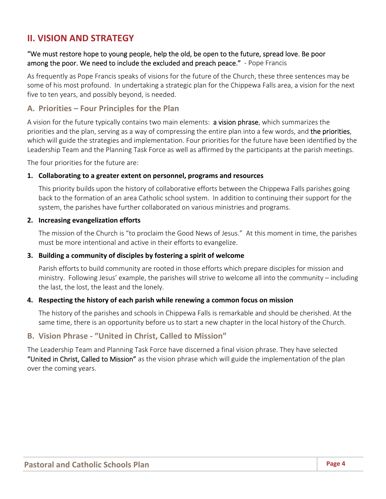## **II. VISION AND STRATEGY**

### "We must restore hope to young people, help the old, be open to the future, spread love. Be poor among the poor. We need to include the excluded and preach peace." - Pope Francis

As frequently as Pope Francis speaks of visions for the future of the Church, these three sentences may be some of his most profound. In undertaking a strategic plan for the Chippewa Falls area, a vision for the next five to ten years, and possibly beyond, is needed.

### **A. Priorities – Four Principles for the Plan**

A vision for the future typically contains two main elements: a vision phrase, which summarizes the priorities and the plan, serving as a way of compressing the entire plan into a few words, and the priorities, which will guide the strategies and implementation. Four priorities for the future have been identified by the Leadership Team and the Planning Task Force as well as affirmed by the participants at the parish meetings.

The four priorities for the future are:

### **1. Collaborating to a greater extent on personnel, programs and resources**

This priority builds upon the history of collaborative efforts between the Chippewa Falls parishes going back to the formation of an area Catholic school system. In addition to continuing their support for the system, the parishes have further collaborated on various ministries and programs.

### **2. Increasing evangelization efforts**

The mission of the Church is "to proclaim the Good News of Jesus." At this moment in time, the parishes must be more intentional and active in their efforts to evangelize.

### **3. Building a community of disciples by fostering a spirit of welcome**

Parish efforts to build community are rooted in those efforts which prepare disciples for mission and ministry. Following Jesus' example, the parishes will strive to welcome all into the community – including the last, the lost, the least and the lonely.

### **4. Respecting the history of each parish while renewing a common focus on mission**

The history of the parishes and schools in Chippewa Falls is remarkable and should be cherished. At the same time, there is an opportunity before us to start a new chapter in the local history of the Church.

### **B. Vision Phrase ‐ "United in Christ, Called to Mission"**

The Leadership Team and Planning Task Force have discerned a final vision phrase. They have selected "United in Christ, Called to Mission" as the vision phrase which will guide the implementation of the plan over the coming years.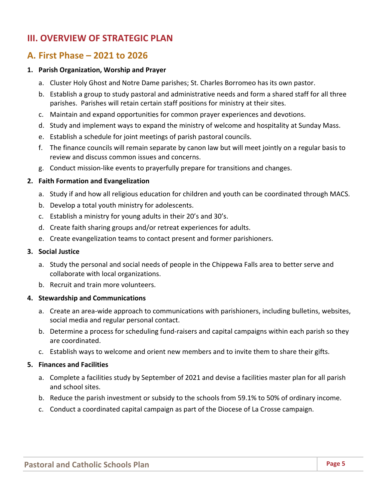## **III. OVERVIEW OF STRATEGIC PLAN**

## **A. First Phase – 2021 to 2026**

#### **1. Parish Organization, Worship and Prayer**

- a. Cluster Holy Ghost and Notre Dame parishes; St. Charles Borromeo has its own pastor.
- b. Establish a group to study pastoral and administrative needs and form a shared staff for all three parishes. Parishes will retain certain staff positions for ministry at their sites.
- c. Maintain and expand opportunities for common prayer experiences and devotions.
- d. Study and implement ways to expand the ministry of welcome and hospitality at Sunday Mass.
- e. Establish a schedule for joint meetings of parish pastoral councils.
- f. The finance councils will remain separate by canon law but will meet jointly on a regular basis to review and discuss common issues and concerns.
- g. Conduct mission‐like events to prayerfully prepare for transitions and changes.

#### **2. Faith Formation and Evangelization**

- a. Study if and how all religious education for children and youth can be coordinated through MACS.
- b. Develop a total youth ministry for adolescents.
- c. Establish a ministry for young adults in their 20's and 30's.
- d. Create faith sharing groups and/or retreat experiences for adults.
- e. Create evangelization teams to contact present and former parishioners.

#### **3. Social Justice**

- a. Study the personal and social needs of people in the Chippewa Falls area to better serve and collaborate with local organizations.
- b. Recruit and train more volunteers.

#### **4. Stewardship and Communications**

- a. Create an area‐wide approach to communications with parishioners, including bulletins, websites, social media and regular personal contact.
- b. Determine a process for scheduling fund‐raisers and capital campaigns within each parish so they are coordinated.
- c. Establish ways to welcome and orient new members and to invite them to share their gifts.

#### **5. Finances and Facilities**

- a. Complete a facilities study by September of 2021 and devise a facilities master plan for all parish and school sites.
- b. Reduce the parish investment or subsidy to the schools from 59.1% to 50% of ordinary income.
- c. Conduct a coordinated capital campaign as part of the Diocese of La Crosse campaign.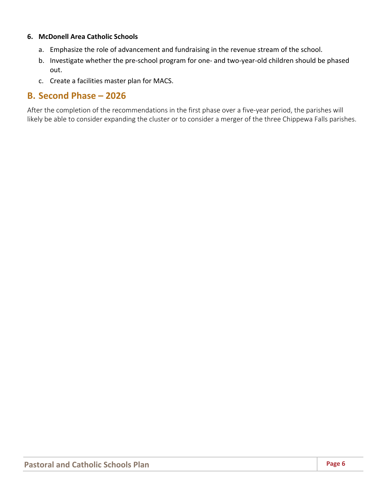### **6. McDonell Area Catholic Schools**

- a. Emphasize the role of advancement and fundraising in the revenue stream of the school.
- b. Investigate whether the pre‐school program for one‐ and two‐year‐old children should be phased out.
- c. Create a facilities master plan for MACS.

### **B. Second Phase – 2026**

After the completion of the recommendations in the first phase over a five‐year period, the parishes will likely be able to consider expanding the cluster or to consider a merger of the three Chippewa Falls parishes.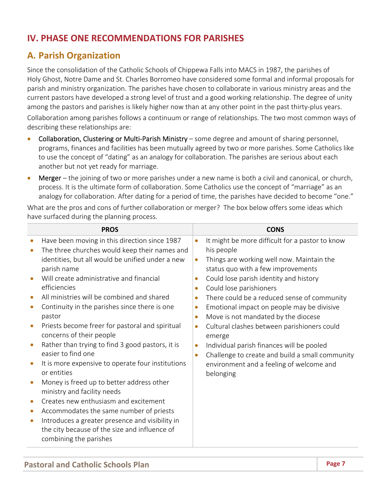## **IV. PHASE ONE RECOMMENDATIONS FOR PARISHES**

## **A. Parish Organization**

Since the consolidation of the Catholic Schools of Chippewa Falls into MACS in 1987, the parishes of Holy Ghost, Notre Dame and St. Charles Borromeo have considered some formal and informal proposals for parish and ministry organization. The parishes have chosen to collaborate in various ministry areas and the current pastors have developed a strong level of trust and a good working relationship. The degree of unity among the pastors and parishes is likely higher now than at any other point in the past thirty-plus years.

Collaboration among parishes follows a continuum or range of relationships. The two most common ways of describing these relationships are:

- Collaboration, Clustering or Multi‐Parish Ministry some degree and amount of sharing personnel, programs, finances and facilities has been mutually agreed by two or more parishes. Some Catholics like to use the concept of "dating" as an analogy for collaboration. The parishes are serious about each another but not yet ready for marriage.
- **Merger** the joining of two or more parishes under a new name is both a civil and canonical, or church, process. It is the ultimate form of collaboration. Some Catholics use the concept of "marriage" as an analogy for collaboration. After dating for a period of time, the parishes have decided to become "one."

What are the pros and cons of further collaboration or merger? The box below offers some ideas which have surfaced during the planning process.

| Have been moving in this direction since 1987<br>It might be more difficult for a pastor to know<br>$\bullet$<br>$\bullet$<br>his people<br>The three churches would keep their names and                                                                                                                                                                                                                                                                                                                                                                                                                                                                                                                                                                                                                                                                                                                                                                                                                                                                                                                                                                                                                                                                                                                                                                                                                                                 |  |
|-------------------------------------------------------------------------------------------------------------------------------------------------------------------------------------------------------------------------------------------------------------------------------------------------------------------------------------------------------------------------------------------------------------------------------------------------------------------------------------------------------------------------------------------------------------------------------------------------------------------------------------------------------------------------------------------------------------------------------------------------------------------------------------------------------------------------------------------------------------------------------------------------------------------------------------------------------------------------------------------------------------------------------------------------------------------------------------------------------------------------------------------------------------------------------------------------------------------------------------------------------------------------------------------------------------------------------------------------------------------------------------------------------------------------------------------|--|
| identities, but all would be unified under a new<br>Things are working well now. Maintain the<br>$\bullet$<br>parish name<br>status quo with a few improvements<br>Will create administrative and financial<br>Could lose parish identity and history<br>$\bullet$<br>efficiencies<br>Could lose parishioners<br>$\bullet$<br>All ministries will be combined and shared<br>There could be a reduced sense of community<br>$\bullet$<br>Continuity in the parishes since there is one<br>Emotional impact on people may be divisive<br>$\bullet$<br>$\bullet$<br>pastor<br>Move is not mandated by the diocese<br>$\bullet$<br>Priests become freer for pastoral and spiritual<br>Cultural clashes between parishioners could<br>$\bullet$<br>concerns of their people<br>emerge<br>Rather than trying to find 3 good pastors, it is<br>Individual parish finances will be pooled<br>$\bullet$<br>easier to find one<br>Challenge to create and build a small community<br>$\bullet$<br>It is more expensive to operate four institutions<br>environment and a feeling of welcome and<br>or entities<br>belonging<br>Money is freed up to better address other<br>ministry and facility needs<br>Creates new enthusiasm and excitement<br>Accommodates the same number of priests<br>$\bullet$<br>Introduces a greater presence and visibility in<br>$\bullet$<br>the city because of the size and influence of<br>combining the parishes |  |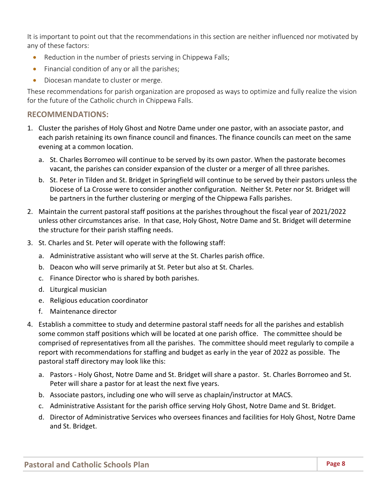It is important to point out that the recommendations in this section are neither influenced nor motivated by any of these factors:

- Reduction in the number of priests serving in Chippewa Falls;
- Financial condition of any or all the parishes;
- Diocesan mandate to cluster or merge.

These recommendations for parish organization are proposed as ways to optimize and fully realize the vision for the future of the Catholic church in Chippewa Falls.

### **RECOMMENDATIONS:**

- 1. Cluster the parishes of Holy Ghost and Notre Dame under one pastor, with an associate pastor, and each parish retaining its own finance council and finances. The finance councils can meet on the same evening at a common location.
	- a. St. Charles Borromeo will continue to be served by its own pastor. When the pastorate becomes vacant, the parishes can consider expansion of the cluster or a merger of all three parishes.
	- b. St. Peter in Tilden and St. Bridget in Springfield will continue to be served by their pastors unless the Diocese of La Crosse were to consider another configuration. Neither St. Peter nor St. Bridget will be partners in the further clustering or merging of the Chippewa Falls parishes.
- 2. Maintain the current pastoral staff positions at the parishes throughout the fiscal year of 2021/2022 unless other circumstances arise. In that case, Holy Ghost, Notre Dame and St. Bridget will determine the structure for their parish staffing needs.
- 3. St. Charles and St. Peter will operate with the following staff:
	- a. Administrative assistant who will serve at the St. Charles parish office.
	- b. Deacon who will serve primarily at St. Peter but also at St. Charles.
	- c. Finance Director who is shared by both parishes.
	- d. Liturgical musician
	- e. Religious education coordinator
	- f. Maintenance director
- 4. Establish a committee to study and determine pastoral staff needs for all the parishes and establish some common staff positions which will be located at one parish office. The committee should be comprised of representatives from all the parishes. The committee should meet regularly to compile a report with recommendations for staffing and budget as early in the year of 2022 as possible. The pastoral staff directory may look like this:
	- a. Pastors ‐ Holy Ghost, Notre Dame and St. Bridget will share a pastor. St. Charles Borromeo and St. Peter will share a pastor for at least the next five years.
	- b. Associate pastors, including one who will serve as chaplain/instructor at MACS.
	- c. Administrative Assistant for the parish office serving Holy Ghost, Notre Dame and St. Bridget.
	- d. Director of Administrative Services who oversees finances and facilities for Holy Ghost, Notre Dame and St. Bridget.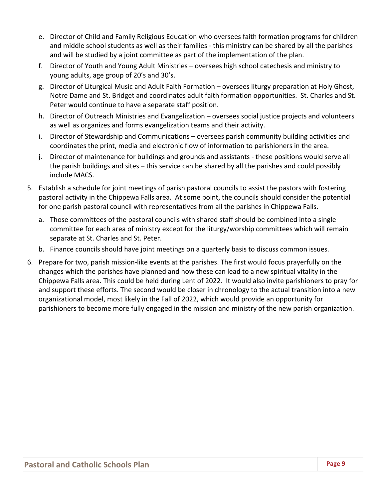- e. Director of Child and Family Religious Education who oversees faith formation programs for children and middle school students as well as their families - this ministry can be shared by all the parishes and will be studied by a joint committee as part of the implementation of the plan.
- f. Director of Youth and Young Adult Ministries oversees high school catechesis and ministry to young adults, age group of 20's and 30's.
- g. Director of Liturgical Music and Adult Faith Formation oversees liturgy preparation at Holy Ghost, Notre Dame and St. Bridget and coordinates adult faith formation opportunities. St. Charles and St. Peter would continue to have a separate staff position.
- h. Director of Outreach Ministries and Evangelization oversees social justice projects and volunteers as well as organizes and forms evangelization teams and their activity.
- i. Director of Stewardship and Communications oversees parish community building activities and coordinates the print, media and electronic flow of information to parishioners in the area.
- j. Director of maintenance for buildings and grounds and assistants ‐ these positions would serve all the parish buildings and sites – this service can be shared by all the parishes and could possibly include MACS.
- 5. Establish a schedule for joint meetings of parish pastoral councils to assist the pastors with fostering pastoral activity in the Chippewa Falls area. At some point, the councils should consider the potential for one parish pastoral council with representatives from all the parishes in Chippewa Falls.
	- a. Those committees of the pastoral councils with shared staff should be combined into a single committee for each area of ministry except for the liturgy/worship committees which will remain separate at St. Charles and St. Peter.
	- b. Finance councils should have joint meetings on a quarterly basis to discuss common issues.
- 6. Prepare for two, parish mission‐like events at the parishes. The first would focus prayerfully on the changes which the parishes have planned and how these can lead to a new spiritual vitality in the Chippewa Falls area. This could be held during Lent of 2022. It would also invite parishioners to pray for and support these efforts. The second would be closer in chronology to the actual transition into a new organizational model, most likely in the Fall of 2022, which would provide an opportunity for parishioners to become more fully engaged in the mission and ministry of the new parish organization.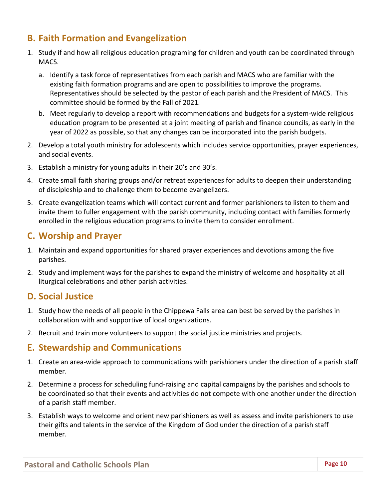## **B. Faith Formation and Evangelization**

- 1. Study if and how all religious education programing for children and youth can be coordinated through MACS.
	- a. Identify a task force of representatives from each parish and MACS who are familiar with the existing faith formation programs and are open to possibilities to improve the programs. Representatives should be selected by the pastor of each parish and the President of MACS. This committee should be formed by the Fall of 2021.
	- b. Meet regularly to develop a report with recommendations and budgets for a system‐wide religious education program to be presented at a joint meeting of parish and finance councils, as early in the year of 2022 as possible, so that any changes can be incorporated into the parish budgets.
- 2. Develop a total youth ministry for adolescents which includes service opportunities, prayer experiences, and social events.
- 3. Establish a ministry for young adults in their 20's and 30's.
- 4. Create small faith sharing groups and/or retreat experiences for adults to deepen their understanding of discipleship and to challenge them to become evangelizers.
- 5. Create evangelization teams which will contact current and former parishioners to listen to them and invite them to fuller engagement with the parish community, including contact with families formerly enrolled in the religious education programs to invite them to consider enrollment.

## **C. Worship and Prayer**

- 1. Maintain and expand opportunities for shared prayer experiences and devotions among the five parishes.
- 2. Study and implement ways for the parishes to expand the ministry of welcome and hospitality at all liturgical celebrations and other parish activities.

## **D. Social Justice**

- 1. Study how the needs of all people in the Chippewa Falls area can best be served by the parishes in collaboration with and supportive of local organizations.
- 2. Recruit and train more volunteers to support the social justice ministries and projects.

## **E. Stewardship and Communications**

- 1. Create an area‐wide approach to communications with parishioners under the direction of a parish staff member.
- 2. Determine a process for scheduling fund-raising and capital campaigns by the parishes and schools to be coordinated so that their events and activities do not compete with one another under the direction of a parish staff member.
- 3. Establish ways to welcome and orient new parishioners as well as assess and invite parishioners to use their gifts and talents in the service of the Kingdom of God under the direction of a parish staff member.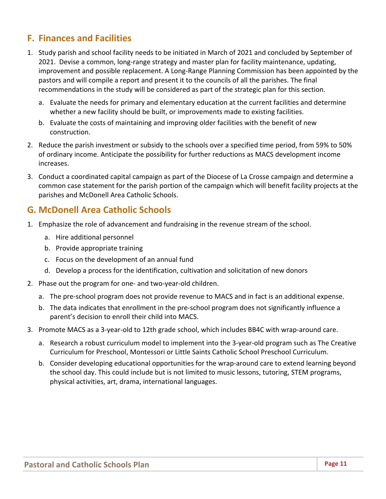## **F. Finances and Facilities**

- 1. Study parish and school facility needs to be initiated in March of 2021 and concluded by September of 2021. Devise a common, long-range strategy and master plan for facility maintenance, updating, improvement and possible replacement. A Long‐Range Planning Commission has been appointed by the pastors and will compile a report and present it to the councils of all the parishes. The final recommendations in the study will be considered as part of the strategic plan for this section.
	- a. Evaluate the needs for primary and elementary education at the current facilities and determine whether a new facility should be built, or improvements made to existing facilities.
	- b. Evaluate the costs of maintaining and improving older facilities with the benefit of new construction.
- 2. Reduce the parish investment or subsidy to the schools over a specified time period, from 59% to 50% of ordinary income. Anticipate the possibility for further reductions as MACS development income increases.
- 3. Conduct a coordinated capital campaign as part of the Diocese of La Crosse campaign and determine a common case statement for the parish portion of the campaign which will benefit facility projects at the parishes and McDonell Area Catholic Schools.

## **G. McDonell Area Catholic Schools**

- 1. Emphasize the role of advancement and fundraising in the revenue stream of the school.
	- a. Hire additional personnel
	- b. Provide appropriate training
	- c. Focus on the development of an annual fund
	- d. Develop a process for the identification, cultivation and solicitation of new donors
- 2. Phase out the program for one‐ and two‐year‐old children.
	- a. The pre‐school program does not provide revenue to MACS and in fact is an additional expense.
	- b. The data indicates that enrollment in the pre‐school program does not significantly influence a parent's decision to enroll their child into MACS.
- 3. Promote MACS as a 3‐year‐old to 12th grade school, which includes BB4C with wrap‐around care.
	- a. Research a robust curriculum model to implement into the 3‐year‐old program such as The Creative Curriculum for Preschool, Montessori or Little Saints Catholic School Preschool Curriculum.
	- b. Consider developing educational opportunities for the wrap-around care to extend learning beyond the school day. This could include but is not limited to music lessons, tutoring, STEM programs, physical activities, art, drama, international languages.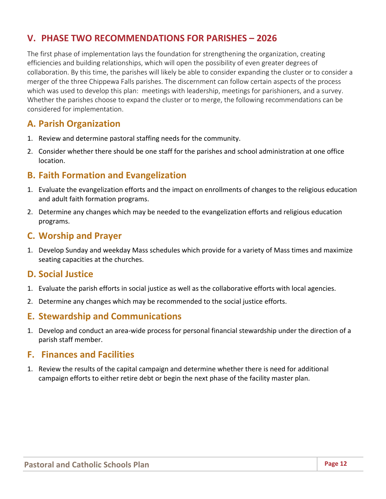## **V. PHASE TWO RECOMMENDATIONS FOR PARISHES – 2026**

The first phase of implementation lays the foundation for strengthening the organization, creating efficiencies and building relationships, which will open the possibility of even greater degrees of collaboration. By this time, the parishes will likely be able to consider expanding the cluster or to consider a merger of the three Chippewa Falls parishes. The discernment can follow certain aspects of the process which was used to develop this plan: meetings with leadership, meetings for parishioners, and a survey. Whether the parishes choose to expand the cluster or to merge, the following recommendations can be considered for implementation.

## **A. Parish Organization**

- 1. Review and determine pastoral staffing needs for the community.
- 2. Consider whether there should be one staff for the parishes and school administration at one office location.

## **B. Faith Formation and Evangelization**

- 1. Evaluate the evangelization efforts and the impact on enrollments of changes to the religious education and adult faith formation programs.
- 2. Determine any changes which may be needed to the evangelization efforts and religious education programs.

### **C. Worship and Prayer**

1. Develop Sunday and weekday Mass schedules which provide for a variety of Mass times and maximize seating capacities at the churches.

### **D. Social Justice**

- 1. Evaluate the parish efforts in social justice as well as the collaborative efforts with local agencies.
- 2. Determine any changes which may be recommended to the social justice efforts.

### **E. Stewardship and Communications**

1. Develop and conduct an area‐wide process for personal financial stewardship under the direction of a parish staff member.

### **F. Finances and Facilities**

1. Review the results of the capital campaign and determine whether there is need for additional campaign efforts to either retire debt or begin the next phase of the facility master plan.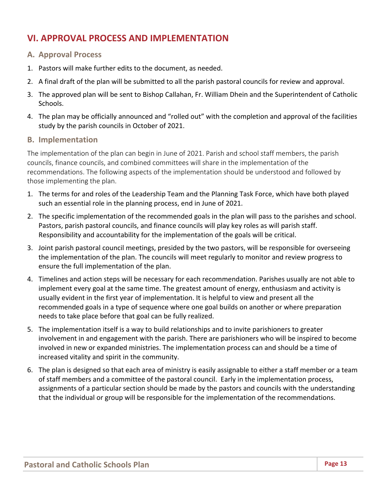## **VI. APPROVAL PROCESS AND IMPLEMENTATION**

### **A. Approval Process**

- 1. Pastors will make further edits to the document, as needed.
- 2. A final draft of the plan will be submitted to all the parish pastoral councils for review and approval.
- 3. The approved plan will be sent to Bishop Callahan, Fr. William Dhein and the Superintendent of Catholic Schools.
- 4. The plan may be officially announced and "rolled out" with the completion and approval of the facilities study by the parish councils in October of 2021.

### **B. Implementation**

The implementation of the plan can begin in June of 2021. Parish and school staff members, the parish councils, finance councils, and combined committees will share in the implementation of the recommendations. The following aspects of the implementation should be understood and followed by those implementing the plan.

- 1. The terms for and roles of the Leadership Team and the Planning Task Force, which have both played such an essential role in the planning process, end in June of 2021.
- 2. The specific implementation of the recommended goals in the plan will pass to the parishes and school. Pastors, parish pastoral councils, and finance councils will play key roles as will parish staff. Responsibility and accountability for the implementation of the goals will be critical.
- 3. Joint parish pastoral council meetings, presided by the two pastors, will be responsible for overseeing the implementation of the plan. The councils will meet regularly to monitor and review progress to ensure the full implementation of the plan.
- 4. Timelines and action steps will be necessary for each recommendation. Parishes usually are not able to implement every goal at the same time. The greatest amount of energy, enthusiasm and activity is usually evident in the first year of implementation. It is helpful to view and present all the recommended goals in a type of sequence where one goal builds on another or where preparation needs to take place before that goal can be fully realized.
- 5. The implementation itself is a way to build relationships and to invite parishioners to greater involvement in and engagement with the parish. There are parishioners who will be inspired to become involved in new or expanded ministries. The implementation process can and should be a time of increased vitality and spirit in the community.
- 6. The plan is designed so that each area of ministry is easily assignable to either a staff member or a team of staff members and a committee of the pastoral council. Early in the implementation process, assignments of a particular section should be made by the pastors and councils with the understanding that the individual or group will be responsible for the implementation of the recommendations.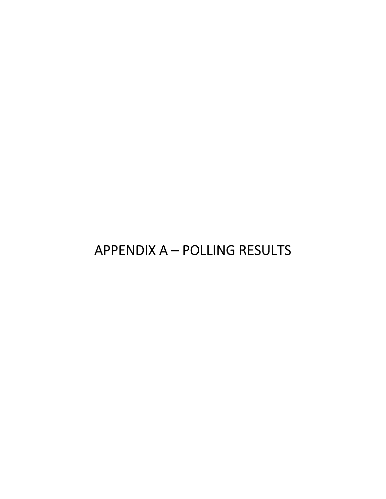# APPENDIX A – POLLING RESULTS